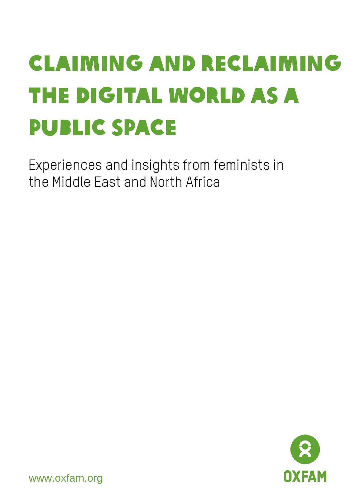# Claiming and Reclaiming the Digital World as a Public Space

Experiences and insights from feminists in the Middle East and North Africa



www.oxfam.org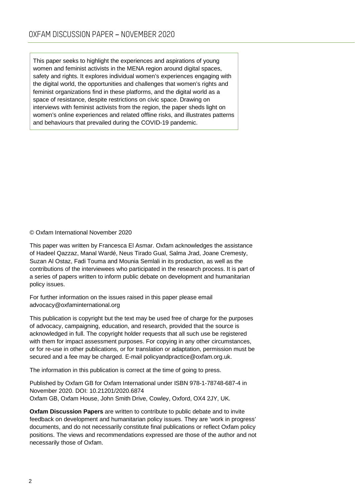This paper seeks to highlight the experiences and aspirations of young women and feminist activists in the MENA region around digital spaces, safety and rights. It explores individual women's experiences engaging with the digital world, the opportunities and challenges that women's rights and feminist organizations find in these platforms, and the digital world as a space of resistance, despite restrictions on civic space. Drawing on interviews with feminist activists from the region, the paper sheds light on women's online experiences and related offline risks, and illustrates patterns and behaviours that prevailed during the COVID-19 pandemic.

© Oxfam International November 2020

This paper was written by Francesca El Asmar. Oxfam acknowledges the assistance of Hadeel Qazzaz, Manal Wardé, Neus Tirado Gual, Salma Jrad, Joane Cremesty, Suzan Al Ostaz, Fadi Touma and Mounia Semlali in its production, as well as the contributions of the interviewees who participated in the research process. It is part of a series of papers written to inform public debate on development and humanitarian policy issues.

For further information on the issues raised in this paper please email [advocacy@oxfaminternational.org](mailto:advocacy@oxfaminternational.org)

This publication is copyright but the text may be used free of charge for the purposes of advocacy, campaigning, education, and research, provided that the source is acknowledged in full. The copyright holder requests that all such use be registered with them for impact assessment purposes. For copying in any other circumstances, or for re-use in other publications, or for translation or adaptation, permission must be secured and a fee may be charged. E-mail policyandpractice@oxfam.org.uk.

The information in this publication is correct at the time of going to press.

Published by Oxfam GB for Oxfam International under ISBN 978-1-78748-687-4 in November 2020. DOI: 10.21201/2020.6874 Oxfam GB, Oxfam House, John Smith Drive, Cowley, Oxford, OX4 2JY, UK.

**Oxfam Discussion Papers** are written to contribute to public debate and to invite feedback on development and humanitarian policy issues. They are 'work in progress' documents, and do not necessarily constitute final publications or reflect Oxfam policy positions. The views and recommendations expressed are those of the author and not necessarily those of Oxfam.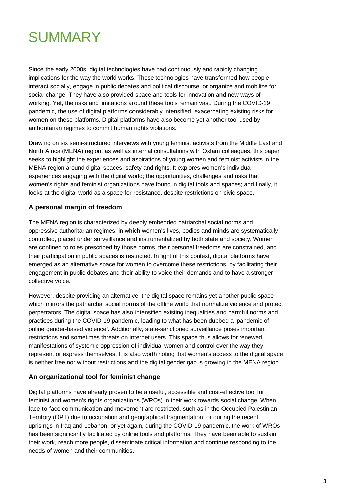# **SUMMARY**

Since the early 2000s, digital technologies have had continuously and rapidly changing implications for the way the world works. These technologies have transformed how people interact socially, engage in public debates and political discourse, or organize and mobilize for social change. They have also provided space and tools for innovation and new ways of working. Yet, the risks and limitations around these tools remain vast. During the COVID-19 pandemic, the use of digital platforms considerably intensified, exacerbating existing risks for women on these platforms. Digital platforms have also become yet another tool used by authoritarian regimes to commit human rights violations.

Drawing on six semi-structured interviews with young feminist activists from the Middle East and North Africa (MENA) region, as well as internal consultations with Oxfam colleagues, this paper seeks to highlight the experiences and aspirations of young women and feminist activists in the MENA region around digital spaces, safety and rights. It explores women's individual experiences engaging with the digital world; the opportunities, challenges and risks that women's rights and feminist organizations have found in digital tools and spaces; and finally, it looks at the digital world as a space for resistance, despite restrictions on civic space.

### **A personal margin of freedom**

The MENA region is characterized by deeply embedded patriarchal social norms and oppressive authoritarian regimes, in which women's lives, bodies and minds are systematically controlled, placed under surveillance and instrumentalized by both state and society. Women are confined to roles prescribed by those norms, their personal freedoms are constrained, and their participation in public spaces is restricted. In light of this context, digital platforms have emerged as an alternative space for women to overcome these restrictions, by facilitating their engagement in public debates and their ability to voice their demands and to have a stronger collective voice.

However, despite providing an alternative, the digital space remains yet another public space which mirrors the patriarchal social norms of the offline world that normalize violence and protect perpetrators. The digital space has also intensified existing inequalities and harmful norms and practices during the COVID-19 pandemic, leading to what has been dubbed a 'pandemic of online gender-based violence'. Additionally, state-sanctioned surveillance poses important restrictions and sometimes threats on internet users. This space thus allows for renewed manifestations of systemic oppression of individual women and control over the way they represent or express themselves. It is also worth noting that women's access to the digital space is neither free nor without restrictions and the digital gender gap is growing in the MENA region.

### **An organizational tool for feminist change**

Digital platforms have already proven to be a useful, accessible and cost-effective tool for feminist and women's rights organizations (WROs) in their work towards social change. When face-to-face communication and movement are restricted, such as in the Occupied Palestinian Territory (OPT) due to occupation and geographical fragmentation, or during the recent uprisings in Iraq and Lebanon, or yet again, during the COVID-19 pandemic, the work of WROs has been significantly facilitated by online tools and platforms. They have been able to sustain their work, reach more people, disseminate critical information and continue responding to the needs of women and their communities.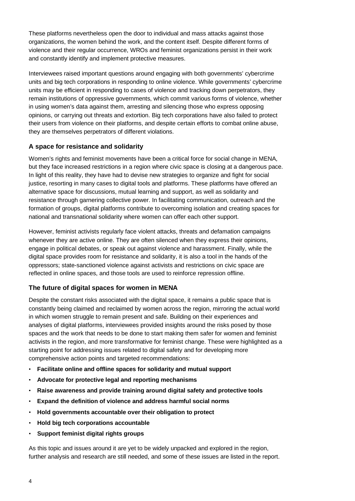These platforms nevertheless open the door to individual and mass attacks against those organizations, the women behind the work, and the content itself. Despite different forms of violence and their regular occurrence, WROs and feminist organizations persist in their work and constantly identify and implement protective measures.

Interviewees raised important questions around engaging with both governments' cybercrime units and big tech corporations in responding to online violence. While governments' cybercrime units may be efficient in responding to cases of violence and tracking down perpetrators, they remain institutions of oppressive governments, which commit various forms of violence, whether in using women's data against them, arresting and silencing those who express opposing opinions, or carrying out threats and extortion. Big tech corporations have also failed to protect their users from violence on their platforms, and despite certain efforts to combat online abuse, they are themselves perpetrators of different violations.

### **A space for resistance and solidarity**

Women's rights and feminist movements have been a critical force for social change in MENA, but they face increased restrictions in a region where civic space is closing at a dangerous pace. In light of this reality, they have had to devise new strategies to organize and fight for social justice, resorting in many cases to digital tools and platforms. These platforms have offered an alternative space for discussions, mutual learning and support, as well as solidarity and resistance through garnering collective power. In facilitating communication, outreach and the formation of groups, digital platforms contribute to overcoming isolation and creating spaces for national and transnational solidarity where women can offer each other support.

However, feminist activists regularly face violent attacks, threats and defamation campaigns whenever they are active online. They are often silenced when they express their opinions, engage in political debates, or speak out against violence and harassment. Finally, while the digital space provides room for resistance and solidarity, it is also a tool in the hands of the oppressors; state-sanctioned violence against activists and restrictions on civic space are reflected in online spaces, and those tools are used to reinforce repression offline.

### **The future of digital spaces for women in MENA**

Despite the constant risks associated with the digital space, it remains a public space that is constantly being claimed and reclaimed by women across the region, mirroring the actual world in which women struggle to remain present and safe. Building on their experiences and analyses of digital platforms, interviewees provided insights around the risks posed by those spaces and the work that needs to be done to start making them safer for women and feminist activists in the region, and more transformative for feminist change. These were highlighted as a starting point for addressing issues related to digital safety and for developing more comprehensive action points and targeted recommendations:

- **Facilitate online and offline spaces for solidarity and mutual support**
- **Advocate for protective legal and reporting mechanisms**
- **Raise awareness and provide training around digital safety and protective tools**
- **Expand the definition of violence and address harmful social norms**
- **Hold governments accountable over their obligation to protect**
- **Hold big tech corporations accountable**
- **Support feminist digital rights groups**

As this topic and issues around it are yet to be widely unpacked and explored in the region, further analysis and research are still needed, and some of these issues are listed in the report.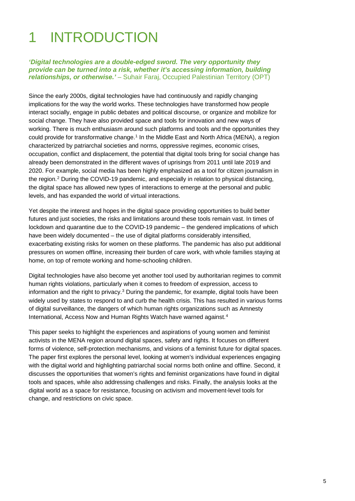# 1 INTRODUCTION

*'Digital technologies are a double-edged sword. The very opportunity they provide can be turned into a risk, whether it's accessing information, building relationships, or otherwise.' –* Suhair Faraj, Occupied Palestinian Territory (OPT)

Since the early 2000s, digital technologies have had continuously and rapidly changing implications for the way the world works. These technologies have transformed how people interact socially, engage in public debates and political discourse, or organize and mobilize for social change. They have also provided space and tools for innovation and new ways of working. There is much enthusiasm around such platforms and tools and the opportunities they could provide for transformative change.<sup>[1](#page-23-0)</sup> In the Middle East and North Africa (MENA), a region characterized by patriarchal societies and norms, oppressive regimes, economic crises, occupation, conflict and displacement, the potential that digital tools bring for social change has already been demonstrated in the different waves of uprisings from 2011 until late 2019 and 2020. For example, social media has been highly emphasized as a tool for citizen journalism in the region. [2](#page-23-1) During the COVID-19 pandemic, and especially in relation to physical distancing, the digital space has allowed new types of interactions to emerge at the personal and public levels, and has expanded the world of virtual interactions.

Yet despite the interest and hopes in the digital space providing opportunities to build better futures and just societies, the risks and limitations around these tools remain vast. In times of lockdown and quarantine due to the COVID-19 pandemic – the gendered implications of which have been widely documented – the use of digital platforms considerably intensified, exacerbating existing risks for women on these platforms. The pandemic has also put additional pressures on women offline, increasing their burden of care work, with whole families staying at home, on top of remote working and home-schooling children.

Digital technologies have also become yet another tool used by authoritarian regimes to commit human rights violations, particularly when it comes to freedom of expression, access to information and the right to privacy.<sup>[3](#page-23-2)</sup> During the pandemic, for example, digital tools have been widely used by states to respond to and curb the health crisis. This has resulted in various forms of digital surveillance, the dangers of which human rights organizations such as Amnesty International, Access Now and Human Rights Watch have warned against. [4](#page-23-3)

This paper seeks to highlight the experiences and aspirations of young women and feminist activists in the MENA region around digital spaces, safety and rights. It focuses on different forms of violence, self-protection mechanisms, and visions of a feminist future for digital spaces. The paper first explores the personal level, looking at women's individual experiences engaging with the digital world and highlighting patriarchal social norms both online and offline. Second, it discusses the opportunities that women's rights and feminist organizations have found in digital tools and spaces, while also addressing challenges and risks. Finally, the analysis looks at the digital world as a space for resistance, focusing on activism and movement-level tools for change, and restrictions on civic space.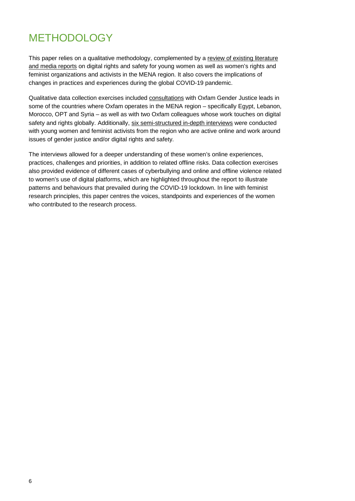### METHODOLOGY

This paper relies on a qualitative methodology, complemented by a review of existing literature and media reports on digital rights and safety for young women as well as women's rights and feminist organizations and activists in the MENA region. It also covers the implications of changes in practices and experiences during the global COVID-19 pandemic.

Qualitative data collection exercises included consultations with Oxfam Gender Justice leads in some of the countries where Oxfam operates in the MENA region – specifically Egypt, Lebanon, Morocco, OPT and Syria – as well as with two Oxfam colleagues whose work touches on digital safety and rights globally. Additionally, six semi-structured in-depth interviews were conducted with young women and feminist activists from the region who are active online and work around issues of gender justice and/or digital rights and safety.

The interviews allowed for a deeper understanding of these women's online experiences, practices, challenges and priorities, in addition to related offline risks. Data collection exercises also provided evidence of different cases of cyberbullying and online and offline violence related to women's use of digital platforms, which are highlighted throughout the report to illustrate patterns and behaviours that prevailed during the COVID-19 lockdown. In line with feminist research principles, this paper centres the voices, standpoints and experiences of the women who contributed to the research process.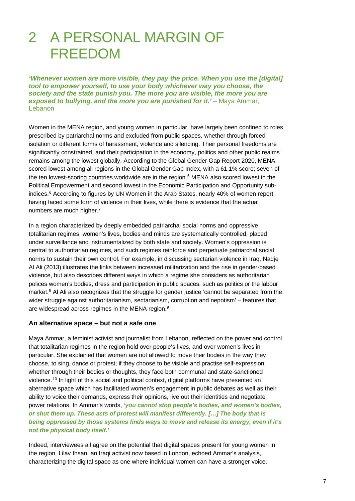## 2 A PERSONAL MARGIN OF FREEDOM

*'Whenever women are more visible, they pay the price. When you use the [digital] tool to empower yourself, to use your body whichever way you choose, the society and the state punish you. The more you are visible, the more you are exposed to bullying, and the more you are punished for it.' –* Maya Ammar, Lebanon

Women in the MENA region, and young women in particular, have largely been confined to roles prescribed by patriarchal norms and excluded from public spaces, whether through forced isolation or different forms of harassment, violence and silencing. Their personal freedoms are significantly constrained, and their participation in the economy, politics and other public realms remains among the lowest globally. According to the Global Gender Gap Report 2020, MENA scored lowest among all regions in the Global Gender Gap Index, with a 61.1% score; seven of the ten lowest-scoring countries worldwide are in the region.<sup>[5](#page-23-4)</sup> MENA also scored lowest in the Political Empowerment and second lowest in the Economic Participation and Opportunity subindices. [6](#page-23-5) According to figures by UN Women in the Arab States, nearly 40% of women report having faced some form of violence in their lives, while there is evidence that the actual numbers are much higher.<sup>[7](#page-23-6)</sup>

In a region characterized by deeply embedded patriarchal social norms and oppressive totalitarian regimes, women's lives, bodies and minds are systematically controlled, placed under surveillance and instrumentalized by both state and society. Women's oppression is central to authoritarian regimes, and such regimes reinforce and perpetuate patriarchal social norms to sustain their own control. For example, in discussing sectarian violence in Iraq, Nadje Al Ali (2013) illustrates the links between increased militarization and the rise in gender-based violence, but also describes different ways in which a regime she considers as authoritarian polices women's bodies, dress and participation in public spaces, such as politics or the labour market.<sup>[8](#page-23-7)</sup> Al Ali also recognizes that the struggle for gender justice 'cannot be separated from the wider struggle against authoritarianism, sectarianism, corruption and nepotism' – features that are widespread across regimes in the MENA region.<sup>[9](#page-23-8)</sup>

#### **An alternative space – but not a safe one**

Maya Ammar, a feminist activist and journalist from Lebanon, reflected on the power and control that totalitarian regimes in the region hold over people's lives, and over women's lives in particular. She explained that women are not allowed to move their bodies in the way they choose, to sing, dance or protest; if they choose to be visible and practise self-expression, whether through their bodies or thoughts, they face both communal and state-sanctioned violence. [10](#page-23-9) In light of this social and political context, digital platforms have presented an alternative space which has facilitated women's engagement in public debates as well as their ability to voice their demands, express their opinions, live out their identities and negotiate power relations. In Ammar's words, *'you cannot stop people's bodies, and women's bodies, or shut them up. These acts of protest will manifest differently. […] The body that is being oppressed by those systems finds ways to move and release its energy, even if it's not the physical body itself.'* 

Indeed, interviewees all agree on the potential that digital spaces present for young women in the region. Lilav Ihsan, an Iraqi activist now based in London, echoed Ammar's analysis, characterizing the digital space as one where individual women can have a stronger voice,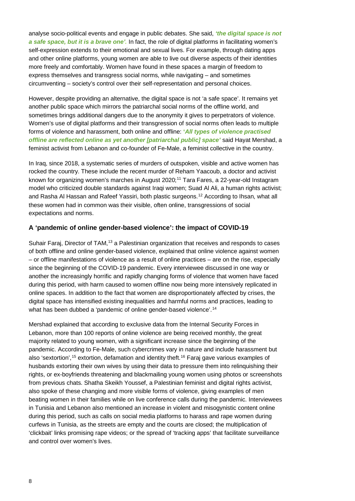analyse socio-political events and engage in public debates. She said, *'the digital space is not a safe space, but it is a brave one'.* In fact, the role of digital platforms in facilitating women's self-expression extends to their emotional and sexual lives. For example, through dating apps and other online platforms, young women are able to live out diverse aspects of their identities more freely and comfortably. Women have found in these spaces a margin of freedom to express themselves and transgress social norms, while navigating – and sometimes circumventing – society's control over their self-representation and personal choices.

However, despite providing an alternative, the digital space is not 'a safe space'. It remains yet another public space which mirrors the patriarchal social norms of the offline world, and sometimes brings additional dangers due to the anonymity it gives to perpetrators of violence. Women's use of digital platforms and their transgression of social norms often leads to multiple forms of violence and harassment, both online and offline: **'***All types of violence practised offline are reflected online as yet another [patriarchal public] space'* said Hayat Mershad, a feminist activist from Lebanon and co-founder of Fe-Male, a feminist collective in the country.

In Iraq, since 2018, a systematic series of murders of outspoken, visible and active women has rocked the country. These include the recent murder of Reham Yaacoub, a doctor and activist known for organizing women's marches in August 2020; [11](#page-23-10) Tara Fares, a 22-year-old Instagram model who criticized double standards against Iraqi women; Suad Al Ali, a human rights activist; and Rasha Al Hassan and Rafeef Yassiri, both plastic surgeons. [12](#page-23-11) According to Ihsan, what all these women had in common was their visible, often online, transgressions of social expectations and norms.

### **A 'pandemic of online gender-based violence': the impact of COVID-19**

Suhair Faraj, Director of TAM,<sup>[13](#page-23-12)</sup> a Palestinian organization that receives and responds to cases of both offline and online gender-based violence, explained that online violence against women – or offline manifestations of violence as a result of online practices – are on the rise, especially since the beginning of the COVID-19 pandemic. Every interviewee discussed in one way or another the increasingly horrific and rapidly changing forms of violence that women have faced during this period, with harm caused to women offline now being more intensively replicated in online spaces. In addition to the fact that women are disproportionately affected by crises, the digital space has intensified existing inequalities and harmful norms and practices, leading to what has been dubbed a 'pandemic of online gender-based violence'.<sup>[14](#page-23-13)</sup>

Mershad explained that according to exclusive data from the Internal Security Forces in Lebanon, more than 100 reports of online violence are being received monthly, the great majority related to young women, with a significant increase since the beginning of the pandemic. According to Fe-Male, such cybercrimes vary in nature and include harassment but also 'sextortion',<sup>[15](#page-23-14)</sup> extortion, defamation and identity theft.<sup>[16](#page-23-15)</sup> Faraj gave various examples of husbands extorting their own wives by using their data to pressure them into relinquishing their rights, or ex-boyfriends threatening and blackmailing young women using photos or screenshots from previous chats. Shatha Skeikh Youssef, a Palestinian feminist and digital rights activist, also spoke of these changing and more visible forms of violence, giving examples of men beating women in their families while on live conference calls during the pandemic. Interviewees in Tunisia and Lebanon also mentioned an increase in violent and misogynistic content online during this period, such as calls on social media platforms to harass and rape women during curfews in Tunisia, as the streets are empty and the courts are closed; the multiplication of 'clickbait' links promising rape videos; or the spread of 'tracking apps' that facilitate surveillance and control over women's lives.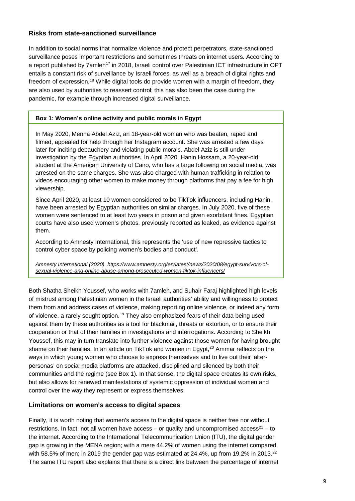### **Risks from state-sanctioned surveillance**

In addition to social norms that normalize violence and protect perpetrators, state-sanctioned surveillance poses important restrictions and sometimes threats on internet users. According to a report published by 7amleh<sup>[17](#page-23-16)</sup> in 2018, Israeli control over Palestinian ICT infrastructure in OPT entails a constant risk of surveillance by Israeli forces, as well as a breach of digital rights and freedom of expression.<sup>[18](#page-23-17)</sup> While digital tools do provide women with a margin of freedom, they are also used by authorities to reassert control; this has also been the case during the pandemic, for example through increased digital surveillance.

### **Box 1: Women's online activity and public morals in Egypt**

In May 2020, Menna Abdel Aziz, an 18-year-old woman who was beaten, raped and filmed, appealed for help through her Instagram account. She was arrested a few days later for inciting debauchery and violating public morals. Abdel Aziz is still under investigation by the Egyptian authorities. In April 2020, Hanin Hossam, a 20-year-old student at the American University of Cairo, who has a large following on social media, was arrested on the same charges. She was also charged with human trafficking in relation to videos encouraging other women to make money through platforms that pay a fee for high viewership.

Since April 2020, at least 10 women considered to be TikTok influencers, including Hanin, have been arrested by Egyptian authorities on similar charges. In July 2020, five of these women were sentenced to at least two years in prison and given exorbitant fines. Egyptian courts have also used women's photos, previously reported as leaked, as evidence against them.

According to Amnesty International, this represents the 'use of new repressive tactics to control cyber space by policing women's bodies and conduct'.

*Amnesty International (2020). [https://www.amnesty.org/en/latest/news/2020/08/egypt-survivors-of](https://www.amnesty.org/en/latest/news/2020/08/egypt-survivors-of-sexual-violence-and-online-abuse-among-prosecuted-women-tiktok-influencers/)[sexual-violence-and-online-abuse-among-prosecuted-women-tiktok-influencers/](https://www.amnesty.org/en/latest/news/2020/08/egypt-survivors-of-sexual-violence-and-online-abuse-among-prosecuted-women-tiktok-influencers/)*

Both Shatha Sheikh Youssef, who works with 7amleh, and Suhair Faraj highlighted high levels of mistrust among Palestinian women in the Israeli authorities' ability and willingness to protect them from and address cases of violence, making reporting online violence, or indeed any form of violence, a rarely sought option.<sup>[19](#page-23-18)</sup> They also emphasized fears of their data being used against them by these authorities as a tool for blackmail, threats or extortion, or to ensure their cooperation or that of their families in investigations and interrogations. According to Sheikh Youssef, this may in turn translate into further violence against those women for having brought shame on their families. In an article on TikTok and women in Egypt,<sup>[20](#page-23-19)</sup> Ammar reflects on the ways in which young women who choose to express themselves and to live out their 'alterpersonas' on social media platforms are attacked, disciplined and silenced by both their communities and the regime (see Box 1). In that sense, the digital space creates its own risks, but also allows for renewed manifestations of systemic oppression of individual women and control over the way they represent or express themselves.

### **Limitations on women's access to digital spaces**

Finally, it is worth noting that women's access to the digital space is neither free nor without restrictions. In fact, not all women have access – or quality and uncompromised access<sup>21</sup> – to the internet. According to the International Telecommunication Union (ITU), the digital gender gap is growing in the MENA region; with a mere 44.2% of women using the internet compared with 58.5% of men; in 2019 the gender gap was estimated at  $24.4\%$ , up from 19.2% in 2013.<sup>[22](#page-23-21)</sup> The same ITU report also explains that there is a direct link between the percentage of internet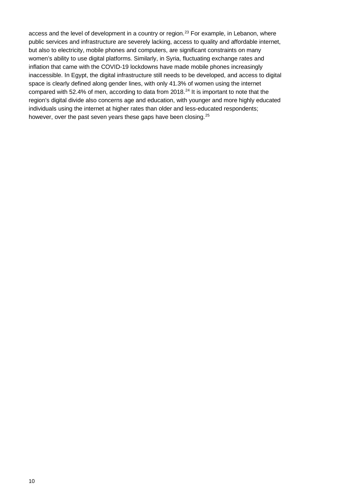access and the level of development in a country or region.<sup>[23](#page-23-22)</sup> For example, in Lebanon, where public services and infrastructure are severely lacking, access to quality and affordable internet, but also to electricity, mobile phones and computers, are significant constraints on many women's ability to use digital platforms. Similarly, in Syria, fluctuating exchange rates and inflation that came with the COVID-19 lockdowns have made mobile phones increasingly inaccessible. In Egypt, the digital infrastructure still needs to be developed, and access to digital space is clearly defined along gender lines, with only 41.3% of women using the internet compared with 52.4% of men, according to data from 2018. [24](#page-23-23) It is important to note that the region's digital divide also concerns age and education, with younger and more highly educated individuals using the internet at higher rates than older and less-educated respondents; however, over the past seven years these gaps have been closing.<sup>[25](#page-23-24)</sup>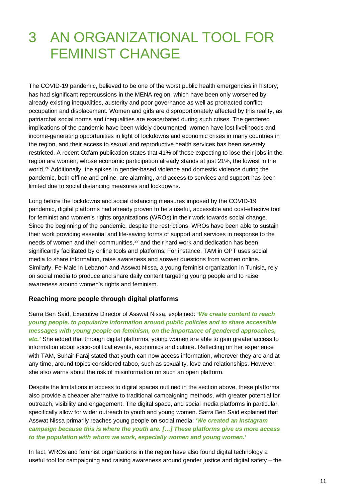# 3 AN ORGANIZATIONAL TOOL FOR FEMINIST CHANGE

The COVID-19 pandemic, believed to be one of the worst public health emergencies in history, has had significant repercussions in the MENA region, which have been only worsened by already existing inequalities, austerity and poor governance as well as protracted conflict, occupation and displacement. Women and girls are disproportionately affected by this reality, as patriarchal social norms and inequalities are exacerbated during such crises. The gendered implications of the pandemic have been widely documented; women have lost livelihoods and income-generating opportunities in light of lockdowns and economic crises in many countries in the region, and their access to sexual and reproductive health services has been severely restricted. A recent Oxfam publication states that 41% of those expecting to lose their jobs in the region are women, whose economic participation already stands at just 21%, the lowest in the world.<sup>[26](#page-23-25)</sup> Additionally, the spikes in gender-based violence and domestic violence during the pandemic, both offline and online, are alarming, and access to services and support has been limited due to social distancing measures and lockdowns.

Long before the lockdowns and social distancing measures imposed by the COVID-19 pandemic, digital platforms had already proven to be a useful, accessible and cost-effective tool for feminist and women's rights organizations (WROs) in their work towards social change. Since the beginning of the pandemic, despite the restrictions, WROs have been able to sustain their work providing essential and life-saving forms of support and services in response to the needs of women and their communities,<sup>[27](#page-23-26)</sup> and their hard work and dedication has been significantly facilitated by online tools and platforms. For instance, TAM in OPT uses social media to share information, raise awareness and answer questions from women online. Similarly, Fe-Male in Lebanon and Asswat Nissa, a young feminist organization in Tunisia, rely on social media to produce and share daily content targeting young people and to raise awareness around women's rights and feminism.

#### **Reaching more people through digital platforms**

Sarra Ben Said, Executive Director of Asswat Nissa, explained: *'We create content to reach young people, to popularize information around public policies and to share accessible messages with young people on feminism, on the importance of gendered approaches, etc.'* She added that through digital platforms, young women are able to gain greater access to information about socio-political events, economics and culture. Reflecting on her experience with TAM, Suhair Faraj stated that youth can now access information, wherever they are and at any time, around topics considered taboo, such as sexuality, love and relationships. However, she also warns about the risk of misinformation on such an open platform.

Despite the limitations in access to digital spaces outlined in the section above, these platforms also provide a cheaper alternative to traditional campaigning methods, with greater potential for outreach, visibility and engagement. The digital space, and social media platforms in particular, specifically allow for wider outreach to youth and young women. Sarra Ben Said explained that Asswat Nissa primarily reaches young people on social media: *'We created an Instagram campaign because this is where the youth are. […] These platforms give us more access to the population with whom we work, especially women and young women.'*

In fact, WROs and feminist organizations in the region have also found digital technology a useful tool for campaigning and raising awareness around gender justice and digital safety – the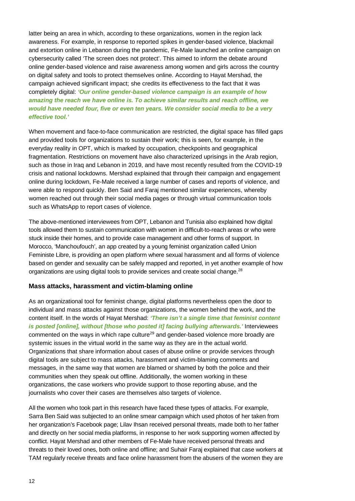latter being an area in which, according to these organizations, women in the region lack awareness. For example, in response to reported spikes in gender-based violence, blackmail and extortion online in Lebanon during the pandemic, Fe-Male launched an online campaign on cybersecurity called 'The screen does not protect'. This aimed to inform the debate around online gender-based violence and raise awareness among women and girls across the country on digital safety and tools to protect themselves online. According to Hayat Mershad, the campaign achieved significant impact; she credits its effectiveness to the fact that it was completely digital: *'Our online gender-based violence campaign is an example of how amazing the reach we have online is. To achieve similar results and reach offline, we would have needed four, five or even ten years. We consider social media to be a very effective tool.'* 

When movement and face-to-face communication are restricted, the digital space has filled gaps and provided tools for organizations to sustain their work; this is seen, for example, in the everyday reality in OPT, which is marked by occupation, checkpoints and geographical fragmentation. Restrictions on movement have also characterized uprisings in the Arab region, such as those in Iraq and Lebanon in 2019, and have most recently resulted from the COVID-19 crisis and national lockdowns. Mershad explained that through their campaign and engagement online during lockdown, Fe-Male received a large number of cases and reports of violence, and were able to respond quickly. Ben Said and Faraj mentioned similar experiences, whereby women reached out through their social media pages or through virtual communication tools such as WhatsApp to report cases of violence.

The above-mentioned interviewees from OPT, Lebanon and Tunisia also explained how digital tools allowed them to sustain communication with women in difficult-to-reach areas or who were stuck inside their homes, and to provide case management and other forms of support. In Morocco, 'Manchoufouch', an app created by a young feminist organization called Union Feministe Libre, is providing an open platform where sexual harassment and all forms of violence based on gender and sexuality can be safely mapped and reported, in yet another example of how organizations are using digital tools to provide services and create social change.<sup>[28](#page-23-27)</sup>

### **Mass attacks, harassment and victim-blaming online**

As an organizational tool for feminist change, digital platforms nevertheless open the door to individual and mass attacks against those organizations, the women behind the work, and the content itself. In the words of Hayat Mershad: *'There isn't a single time that feminist content is posted [online], without [those who posted it] facing bullying afterwards.'* Interviewees commented on the ways in which rape culture<sup>[29](#page-23-28)</sup> and gender-based violence more broadly are systemic issues in the virtual world in the same way as they are in the actual world. Organizations that share information about cases of abuse online or provide services through digital tools are subject to mass attacks, harassment and victim-blaming comments and messages, in the same way that women are blamed or shamed by both the police and their communities when they speak out offline. Additionally, the women working in these organizations, the case workers who provide support to those reporting abuse, and the journalists who cover their cases are themselves also targets of violence.

All the women who took part in this research have faced these types of attacks. For example, Sarra Ben Said was subjected to an online smear campaign which used photos of her taken from her organization's Facebook page; Lilav Ihsan received personal threats, made both to her father and directly on her social media platforms, in response to her work supporting women affected by conflict. Hayat Mershad and other members of Fe-Male have received personal threats and threats to their loved ones, both online and offline; and Suhair Faraj explained that case workers at TAM regularly receive threats and face online harassment from the abusers of the women they are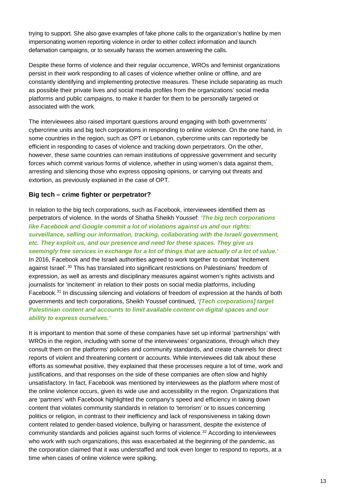trying to support. She also gave examples of fake phone calls to the organization's hotline by men impersonating women reporting violence in order to either collect information and launch defamation campaigns, or to sexually harass the women answering the calls.

Despite these forms of violence and their regular occurrence, WROs and feminist organizations persist in their work responding to all cases of violence whether online or offline, and are constantly identifying and implementing protective measures. These include separating as much as possible their private lives and social media profiles from the organizations' social media platforms and public campaigns, to make it harder for them to be personally targeted or associated with the work.

The interviewees also raised important questions around engaging with both governments' cybercrime units and big tech corporations in responding to online violence. On the one hand, in some countries in the region, such as OPT or Lebanon, cybercrime units can reportedly be efficient in responding to cases of violence and tracking down perpetrators. On the other, however, these same countries can remain institutions of oppressive government and security forces which commit various forms of violence, whether in using women's data against them, arresting and silencing those who express opposing opinions, or carrying out threats and extortion, as previously explained in the case of OPT.

### **Big tech – crime fighter or perpetrator?**

In relation to the big tech corporations, such as Facebook, interviewees identified them as perpetrators of violence. In the words of Shatha Sheikh Youssef: *'The big tech corporations like Facebook and Google commit a lot of violations against us and our rights: surveillance, selling our information, tracking, collaborating with the Israeli government, etc. They exploit us, and our presence and need for these spaces. They give us seemingly free services in exchange for a lot of things that are actually of a lot of value.'* In 2016, Facebook and the Israeli authorities agreed to work together to combat 'incitement against Israel'.<sup>[30](#page-23-29)</sup> This has translated into significant restrictions on Palestinians' freedom of expression, as well as arrests and disciplinary measures against women's rights activists and journalists for 'incitement' in relation to their posts on social media platforms, including Facebook.<sup>[31](#page-23-30)</sup> In discussing silencing and violations of freedom of expression at the hands of both governments and tech corporations, Sheikh Youssef continued, *'[Tech corporations] target Palestinian content and accounts to limit available content on digital spaces and our ability to express ourselves.'* 

It is important to mention that some of these companies have set up informal 'partnerships' with WROs in the region, including with some of the interviewees' organizations, through which they consult them on the platforms' policies and community standards, and create channels for direct reports of violent and threatening content or accounts. While interviewees did talk about these efforts as somewhat positive, they explained that these processes require a lot of time, work and justifications, and that responses on the side of these companies are often slow and highly unsatisfactory. In fact, Facebook was mentioned by interviewees as the platform where most of the online violence occurs, given its wide use and accessibility in the region. Organizations that are 'partners' with Facebook highlighted the company's speed and efficiency in taking down content that violates community standards in relation to 'terrorism' or to issues concerning politics or religion, in contrast to their inefficiency and lack of responsiveness in taking down content related to gender-based violence, bullying or harassment, despite the existence of community standards and policies against such forms of violence. [32](#page-23-31) According to interviewees who work with such organizations, this was exacerbated at the beginning of the pandemic, as the corporation claimed that it was understaffed and took even longer to respond to reports, at a time when cases of online violence were spiking.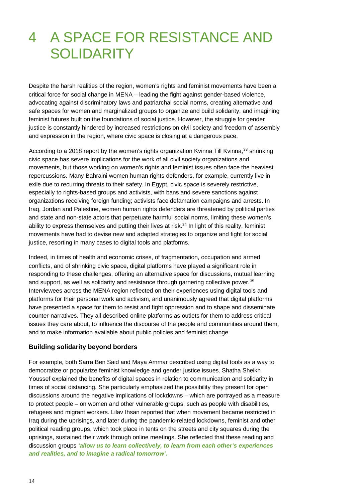# 4 A SPACE FOR RESISTANCE AND **SOLIDARITY**

Despite the harsh realities of the region, women's rights and feminist movements have been a critical force for social change in MENA – leading the fight against gender-based violence, advocating against discriminatory laws and patriarchal social norms, creating alternative and safe spaces for women and marginalized groups to organize and build solidarity, and imagining feminist futures built on the foundations of social justice. However, the struggle for gender justice is constantly hindered by increased restrictions on civil society and freedom of assembly and expression in the region, where civic space is closing at a dangerous pace.

According to a 2018 report by the women's rights organization Kvinna Till Kvinna,<sup>[33](#page-23-32)</sup> shrinking civic space has severe implications for the work of all civil society organizations and movements, but those working on women's rights and feminist issues often face the heaviest repercussions. Many Bahraini women human rights defenders, for example, currently live in exile due to recurring threats to their safety. In Egypt, civic space is severely restrictive, especially to rights-based groups and activists, with bans and severe sanctions against organizations receiving foreign funding; activists face defamation campaigns and arrests. In Iraq, Jordan and Palestine, women human rights defenders are threatened by political parties and state and non-state actors that perpetuate harmful social norms, limiting these women's ability to express themselves and putting their lives at risk.<sup>[34](#page-23-33)</sup> In light of this reality, feminist movements have had to devise new and adapted strategies to organize and fight for social justice, resorting in many cases to digital tools and platforms.

Indeed, in times of health and economic crises, of fragmentation, occupation and armed conflicts, and of shrinking civic space, digital platforms have played a significant role in responding to these challenges, offering an alternative space for discussions, mutual learning and support, as well as solidarity and resistance through garnering collective power. [35](#page-23-34) Interviewees across the MENA region reflected on their experiences using digital tools and platforms for their personal work and activism, and unanimously agreed that digital platforms have presented a space for them to resist and fight oppression and to shape and disseminate counter-narratives. They all described online platforms as outlets for them to address critical issues they care about, to influence the discourse of the people and communities around them, and to make information available about public policies and feminist change.

#### **Building solidarity beyond borders**

For example, both Sarra Ben Said and Maya Ammar described using digital tools as a way to democratize or popularize feminist knowledge and gender justice issues. Shatha Sheikh Youssef explained the benefits of digital spaces in relation to communication and solidarity in times of social distancing. She particularly emphasized the possibility they present for open discussions around the negative implications of lockdowns – which are portrayed as a measure to protect people – on women and other vulnerable groups, such as people with disabilities, refugees and migrant workers. Lilav Ihsan reported that when movement became restricted in Iraq during the uprisings, and later during the pandemic-related lockdowns, feminist and other political reading groups, which took place in tents on the streets and city squares during the uprisings, sustained their work through online meetings. She reflected that these reading and discussion groups *'allow us to learn collectively, to learn from each other's experiences and realities, and to imagine a radical tomorrow'.*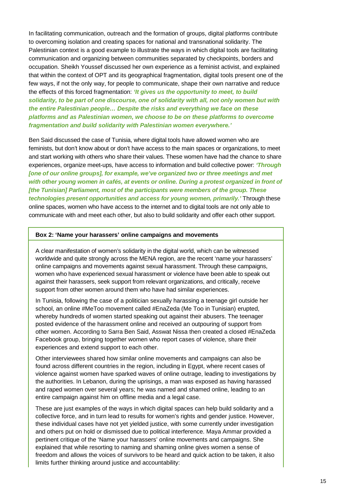In facilitating communication, outreach and the formation of groups, digital platforms contribute to overcoming isolation and creating spaces for national and transnational solidarity. The Palestinian context is a good example to illustrate the ways in which digital tools are facilitating communication and organizing between communities separated by checkpoints, borders and occupation. Sheikh Youssef discussed her own experience as a feminist activist, and explained that within the context of OPT and its geographical fragmentation, digital tools present one of the few ways, if not the only way, for people to communicate, shape their own narrative and reduce the effects of this forced fragmentation: *'It gives us the opportunity to meet, to build solidarity, to be part of one discourse, one of solidarity with all, not only women but with the entire Palestinian people… Despite the risks and everything we face on these platforms and as Palestinian women, we choose to be on these platforms to overcome fragmentation and build solidarity with Palestinian women everywhere.'*

Ben Said discussed the case of Tunisia, where digital tools have allowed women who are feminists, but don't know about or don't have access to the main spaces or organizations, to meet and start working with others who share their values. These women have had the chance to share experiences, organize meet-ups, have access to information and build collective power: *'Through [one of our online groups], for example, we've organized two or three meetings and met with other young women in cafés, at events or online. During a protest organized in front of [the Tunisian] Parliament, most of the participants were members of the group. These technologies present opportunities and access for young women, primarily.'* Through these online spaces, women who have access to the internet and to digital tools are not only able to communicate with and meet each other, but also to build solidarity and offer each other support.

#### **Box 2: 'Name your harassers' online campaigns and movements**

A clear manifestation of women's solidarity in the digital world, which can be witnessed worldwide and quite strongly across the MENA region, are the recent 'name your harassers' online campaigns and movements against sexual harassment. Through these campaigns, women who have experienced sexual harassment or violence have been able to speak out against their harassers, seek support from relevant organizations, and critically, receive support from other women around them who have had similar experiences.

In Tunisia, following the case of a politician sexually harassing a teenage girl outside her school, an online #MeToo movement called #EnaZeda (Me Too in Tunisian) erupted, whereby hundreds of women started speaking out against their abusers. The teenager posted evidence of the harassment online and received an outpouring of support from other women. According to Sarra Ben Said, Asswat Nissa then created a closed #EnaZeda Facebook group, bringing together women who report cases of violence, share their experiences and extend support to each other.

Other interviewees shared how similar online movements and campaigns can also be found across different countries in the region, including in Egypt, where recent cases of violence against women have sparked waves of online outrage, leading to investigations by the authorities. In Lebanon, during the uprisings, a man was exposed as having harassed and raped women over several years; he was named and shamed online, leading to an entire campaign against him on offline media and a legal case.

These are just examples of the ways in which digital spaces can help build solidarity and a collective force, and in turn lead to results for women's rights and gender justice. However, these individual cases have not yet yielded justice, with some currently under investigation and others put on hold or dismissed due to political interference. Maya Ammar provided a pertinent critique of the 'Name your harassers' online movements and campaigns. She explained that while resorting to naming and shaming online gives women a sense of freedom and allows the voices of survivors to be heard and quick action to be taken, it also limits further thinking around justice and accountability: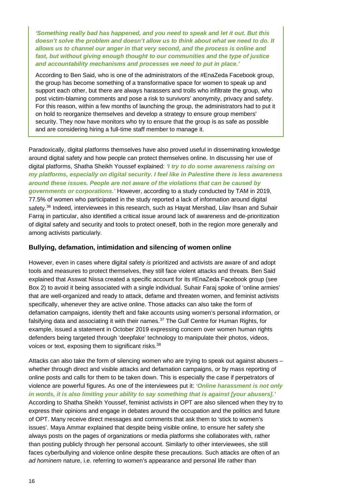*'Something really bad has happened, and you need to speak and let it out. But this doesn't solve the problem and doesn't allow us to think about what we need to do. It allows us to channel our anger in that very second, and the process is online and fast, but without giving enough thought to our communities and the type of justice and accountability mechanisms and processes we need to put in place.'* 

According to Ben Said, who is one of the administrators of the #EnaZeda Facebook group, the group has become something of a transformative space for women to speak up and support each other, but there are always harassers and trolls who infiltrate the group, who post victim-blaming comments and pose a risk to survivors' anonymity, privacy and safety. For this reason, within a few months of launching the group, the administrators had to put it on hold to reorganize themselves and develop a strategy to ensure group members' security. They now have monitors who try to ensure that the group is as safe as possible and are considering hiring a full-time staff member to manage it.

Paradoxically, digital platforms themselves have also proved useful in disseminating knowledge around digital safety and how people can protect themselves online. In discussing her use of digital platforms, Shatha Sheikh Youssef explained: *'I try to do some awareness raising on my platforms, especially on digital security. I feel like in Palestine there is less awareness around these issues. People are not aware of the violations that can be caused by governments or corporations.'* However, according to a study conducted by TAM in 2019, 77.5% of women who participated in the study reported a lack of information around digital safety. [36](#page-23-35) Indeed, interviewees in this research, such as Hayat Mershad, Lilav Ihsan and Suhair Farraj in particular, also identified a critical issue around lack of awareness and de-prioritization of digital safety and security and tools to protect oneself, both in the region more generally and among activists particularly.

#### **Bullying, defamation, intimidation and silencing of women online**

However, even in cases where digital safety *is* prioritized and activists are aware of and adopt tools and measures to protect themselves, they still face violent attacks and threats. Ben Said explained that Asswat Nissa created a specific account for its #EnaZeda Facebook group (see Box 2) to avoid it being associated with a single individual. Suhair Faraj spoke of 'online armies' that are well-organized and ready to attack, defame and threaten women, and feminist activists specifically, whenever they are active online. Those attacks can also take the form of defamation campaigns, identity theft and fake accounts using women's personal information, or falsifying data and associating it with their names.<sup>[37](#page-23-36)</sup> The Gulf Centre for Human Rights, for example, issued a statement in October 2019 expressing concern over women human rights defenders being targeted through 'deepfake' technology to manipulate their photos, videos, voices or text, exposing them to significant risks.<sup>[38](#page-23-37)</sup>

Attacks can also take the form of silencing women who are trying to speak out against abusers – whether through direct and visible attacks and defamation campaigns, or by mass reporting of online posts and calls for them to be taken down. This is especially the case if perpetrators of violence are powerful figures. As one of the interviewees put it: *'Online harassment is not only in words, it is also limiting your ability to say something that is against [your abusers].'*  According to Shatha Sheikh Youssef, feminist activists in OPT are also silenced when they try to express their opinions and engage in debates around the occupation and the politics and future of OPT. Many receive direct messages and comments that ask them to 'stick to women's issues'. Maya Ammar explained that despite being visible online, to ensure her safety she always posts on the pages of organizations or media platforms she collaborates with, rather than posting publicly through her personal account. Similarly to other interviewees, she still faces cyberbullying and violence online despite these precautions. Such attacks are often of an *ad hominem* nature, i.e. referring to women's appearance and personal life rather than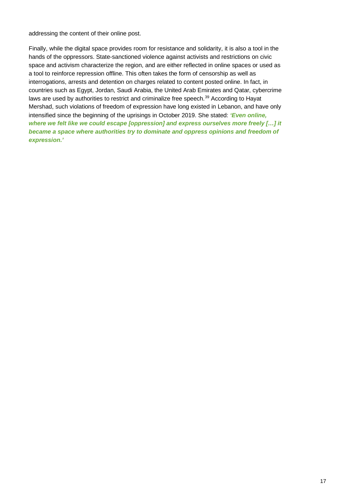addressing the content of their online post.

Finally, while the digital space provides room for resistance and solidarity, it is also a tool in the hands of the oppressors. State-sanctioned violence against activists and restrictions on civic space and activism characterize the region, and are either reflected in online spaces or used as a tool to reinforce repression offline. This often takes the form of censorship as well as interrogations, arrests and detention on charges related to content posted online. In fact, in countries such as Egypt, Jordan, Saudi Arabia, the United Arab Emirates and Qatar, cybercrime laws are used by authorities to restrict and criminalize free speech.<sup>[39](#page-23-38)</sup> According to Hayat Mershad, such violations of freedom of expression have long existed in Lebanon, and have only intensified since the beginning of the uprisings in October 2019. She stated: *'Even online, where we felt like we could escape [oppression] and express ourselves more freely […] it became a space where authorities try to dominate and oppress opinions and freedom of expression.'*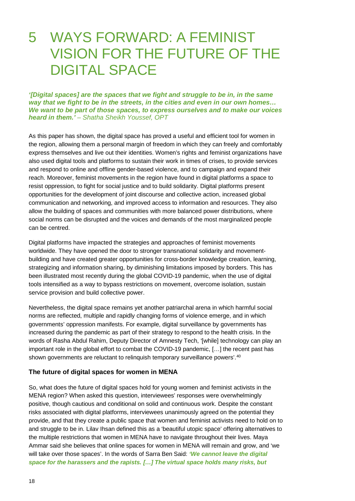### 5 WAYS FORWARD: A FEMINIST VISION FOR THE FUTURE OF THE DIGITAL SPACE

*'[Digital spaces] are the spaces that we fight and struggle to be in, in the same way that we fight to be in the streets, in the cities and even in our own homes… We want to be part of those spaces, to express ourselves and to make our voices heard in them.' – Shatha Sheikh Youssef, OPT*

As this paper has shown, the digital space has proved a useful and efficient tool for women in the region, allowing them a personal margin of freedom in which they can freely and comfortably express themselves and live out their identities. Women's rights and feminist organizations have also used digital tools and platforms to sustain their work in times of crises, to provide services and respond to online and offline gender-based violence, and to campaign and expand their reach. Moreover, feminist movements in the region have found in digital platforms a space to resist oppression, to fight for social justice and to build solidarity. Digital platforms present opportunities for the development of joint discourse and collective action, increased global communication and networking, and improved access to information and resources. They also allow the building of spaces and communities with more balanced power distributions, where social norms can be disrupted and the voices and demands of the most marginalized people can be centred.

Digital platforms have impacted the strategies and approaches of feminist movements worldwide. They have opened the door to stronger transnational solidarity and movementbuilding and have created greater opportunities for cross-border knowledge creation, learning, strategizing and information sharing, by diminishing limitations imposed by borders. This has been illustrated most recently during the global COVID-19 pandemic, when the use of digital tools intensified as a way to bypass restrictions on movement, overcome isolation, sustain service provision and build collective power.

Nevertheless, the digital space remains yet another patriarchal arena in which harmful social norms are reflected, multiple and rapidly changing forms of violence emerge, and in which governments' oppression manifests. For example, digital surveillance by governments has increased during the pandemic as part of their strategy to respond to the health crisis. In the words of Rasha Abdul Rahim, Deputy Director of Amnesty Tech, '[while] technology can play an important role in the global effort to combat the COVID-19 pandemic, […] the recent past has shown governments are reluctant to relinquish temporary surveillance powers'.<sup>[40](#page-23-39)</sup>

#### **The future of digital spaces for women in MENA**

So, what does the future of digital spaces hold for young women and feminist activists in the MENA region? When asked this question, interviewees' responses were overwhelmingly positive, though cautious and conditional on solid and continuous work. Despite the constant risks associated with digital platforms, interviewees unanimously agreed on the potential they provide, and that they create a public space that women and feminist activists need to hold on to and struggle to be in. Lilav Ihsan defined this as a 'beautiful utopic space' offering alternatives to the multiple restrictions that women in MENA have to navigate throughout their lives. Maya Ammar said she believes that online spaces for women in MENA will remain and grow, and 'we will take over those spaces'. In the words of Sarra Ben Said: *'We cannot leave the digital space for the harassers and the rapists. […] The virtual space holds many risks, but*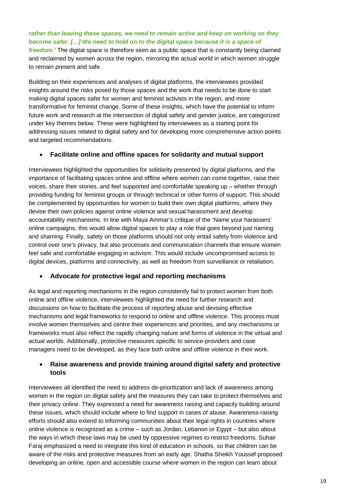*rather than leaving these spaces, we need to remain active and keep on working so they become safer. […] We need to hold on to the digital space because it is a space of freedom.'* The digital space is therefore seen as a public space that is constantly being claimed and reclaimed by women across the region, mirroring the actual world in which women struggle to remain present and safe.

Building on their experiences and analyses of digital platforms, the interviewees provided insights around the risks posed by those spaces and the work that needs to be done to start making digital spaces safer for women and feminist activists in the region, and more transformative for feminist change. Some of these insights, which have the potential to inform future work and research at the intersection of digital safety and gender justice, are categorized under key themes below. These were highlighted by interviewees as a starting point for addressing issues related to digital safety and for developing more comprehensive action points and targeted recommendations.

### • **Facilitate online and offline spaces for solidarity and mutual support**

Interviewees highlighted the opportunities for solidarity presented by digital platforms, and the importance of facilitating spaces online and offline where women can come together, raise their voices, share their stories, and feel supported and comfortable speaking up – whether through providing funding for feminist groups or through technical or other forms of support. This should be complemented by opportunities for women to build their own digital platforms, where they devise their own policies against online violence and sexual harassment and develop accountability mechanisms. In line with Maya Ammar's critique of the 'Name your harassers' online campaigns, this would allow digital spaces to play a role that goes beyond just naming and shaming. Finally, safety on those platforms should not only entail safety from violence and control over one's privacy, but also processes and communication channels that ensure women feel safe and comfortable engaging in activism. This would include uncompromised access to digital devices, platforms and connectivity, as well as freedom from surveillance or retaliation.

### • **Advocate for protective legal and reporting mechanisms**

As legal and reporting mechanisms in the region consistently fail to protect women from both online and offline violence, interviewees highlighted the need for further research and discussions on how to facilitate the process of reporting abuse and devising effective mechanisms and legal frameworks to respond to online and offline violence. This process must involve women themselves and centre their experiences and priorities, and any mechanisms or frameworks must also reflect the rapidly changing nature and forms of violence in the virtual and actual worlds. Additionally, protective measures specific to service-providers and case managers need to be developed, as they face both online and offline violence in their work.

### • **Raise awareness and provide training around digital safety and protective tools**

Interviewees all identified the need to address de-prioritization and lack of awareness among women in the region on digital safety and the measures they can take to protect themselves and their privacy online. They expressed a need for awareness raising and capacity building around these issues, which should include where to find support in cases of abuse. Awareness-raising efforts should also extend to informing communities about their legal rights in countries where online violence is recognized as a crime – such as Jordan, Lebanon or Egypt – but also about the ways in which these laws may be used by oppressive regimes to restrict freedoms. Suhair Faraj emphasized a need to integrate this kind of education in schools, so that children can be aware of the risks and protective measures from an early age. Shatha Sheikh Youssef proposed developing an online, open and accessible course where women in the region can learn about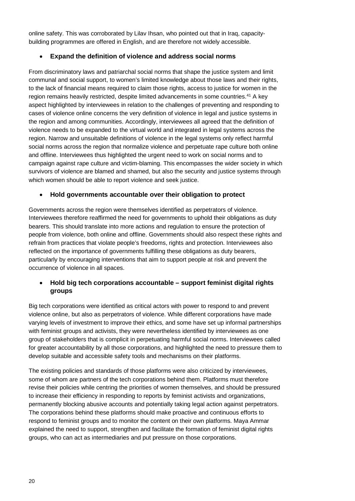online safety. This was corroborated by Lilav Ihsan, who pointed out that in Iraq, capacitybuilding programmes are offered in English, and are therefore not widely accessible.

### • **Expand the definition of violence and address social norms**

From discriminatory laws and patriarchal social norms that shape the justice system and limit communal and social support, to women's limited knowledge about those laws and their rights, to the lack of financial means required to claim those rights, access to justice for women in the region remains heavily restricted, despite limited advancements in some countries.[41](#page-23-40) A key aspect highlighted by interviewees in relation to the challenges of preventing and responding to cases of violence online concerns the very definition of violence in legal and justice systems in the region and among communities. Accordingly, interviewees all agreed that the definition of violence needs to be expanded to the virtual world and integrated in legal systems across the region. Narrow and unsuitable definitions of violence in the legal systems only reflect harmful social norms across the region that normalize violence and perpetuate rape culture both online and offline. Interviewees thus highlighted the urgent need to work on social norms and to campaign against rape culture and victim-blaming. This encompasses the wider society in which survivors of violence are blamed and shamed, but also the security and justice systems through which women should be able to report violence and seek justice.

### • **Hold governments accountable over their obligation to protect**

Governments across the region were themselves identified as perpetrators of violence. Interviewees therefore reaffirmed the need for governments to uphold their obligations as duty bearers. This should translate into more actions and regulation to ensure the protection of people from violence, both online and offline. Governments should also respect these rights and refrain from practices that violate people's freedoms, rights and protection. Interviewees also reflected on the importance of governments fulfilling these obligations as duty bearers, particularly by encouraging interventions that aim to support people at risk and prevent the occurrence of violence in all spaces.

### • **Hold big tech corporations accountable – support feminist digital rights groups**

Big tech corporations were identified as critical actors with power to respond to and prevent violence online, but also as perpetrators of violence. While different corporations have made varying levels of investment to improve their ethics, and some have set up informal partnerships with feminist groups and activists, they were nevertheless identified by interviewees as one group of stakeholders that is complicit in perpetuating harmful social norms. Interviewees called for greater accountability by all those corporations, and highlighted the need to pressure them to develop suitable and accessible safety tools and mechanisms on their platforms.

The existing policies and standards of those platforms were also criticized by interviewees, some of whom are partners of the tech corporations behind them. Platforms must therefore revise their policies while centring the priorities of women themselves, and should be pressured to increase their efficiency in responding to reports by feminist activists and organizations, permanently blocking abusive accounts and potentially taking legal action against perpetrators. The corporations behind these platforms should make proactive and continuous efforts to respond to feminist groups and to monitor the content on their own platforms. Maya Ammar explained the need to support, strengthen and facilitate the formation of feminist digital rights groups, who can act as intermediaries and put pressure on those corporations.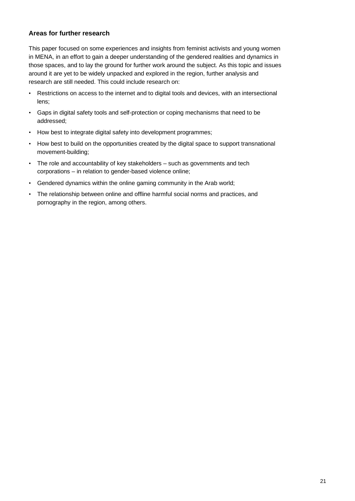### **Areas for further research**

This paper focused on some experiences and insights from feminist activists and young women in MENA, in an effort to gain a deeper understanding of the gendered realities and dynamics in those spaces, and to lay the ground for further work around the subject. As this topic and issues around it are yet to be widely unpacked and explored in the region, further analysis and research are still needed. This could include research on:

- Restrictions on access to the internet and to digital tools and devices, with an intersectional lens;
- Gaps in digital safety tools and self-protection or coping mechanisms that need to be addressed;
- How best to integrate digital safety into development programmes;
- How best to build on the opportunities created by the digital space to support transnational movement-building;
- The role and accountability of key stakeholders such as governments and tech corporations – in relation to gender-based violence online;
- Gendered dynamics within the online gaming community in the Arab world;
- The relationship between online and offline harmful social norms and practices, and pornography in the region, among others.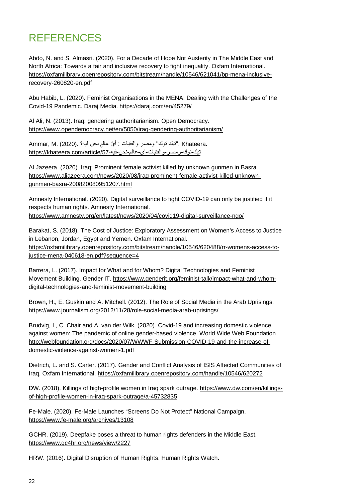### REFERENCES

Abdo, N. and S. Almasri. (2020). For a Decade of Hope Not Austerity in The Middle East and North Africa: Towards a fair and inclusive recovery to fight inequality. Oxfam International. [https://oxfamilibrary.openrepository.com/bitstream/handle/10546/621041/bp-mena-inclusive](https://oxfamilibrary.openrepository.com/bitstream/handle/10546/621041/bp-mena-inclusive-recovery-260820-en.pdf)[recovery-260820-en.pdf](https://oxfamilibrary.openrepository.com/bitstream/handle/10546/621041/bp-mena-inclusive-recovery-260820-en.pdf)

Abu Habib, L. (2020). Feminist Organisations in the MENA: Dealing with the Challenges of the Covid-19 Pandemic. Daraj Media.<https://daraj.com/en/45279/>

Al Ali, N. (2013). Iraq: gendering authoritarianism. Open Democracy. <https://www.opendemocracy.net/en/5050/iraq-gendering-authoritarianism/>

 .Khateera ."تیك توك" ومصر والفتیات : ُّ أي ٍعالم نحن فیھ؟ .(2020) .M ,Ammar تيك-توك-ومصر -والفتيات-أي-عالم-نحن-فيه-https://khateera.com/article/57

Al Jazeera. (2020). Iraq: Prominent female activist killed by unknown gunmen in Basra. [https://www.aljazeera.com/news/2020/08/iraq-prominent-female-activist-killed-unknown](https://www.aljazeera.com/news/2020/08/iraq-prominent-female-activist-killed-unknown-gunmen-basra-200820080951207.html)[gunmen-basra-200820080951207.html](https://www.aljazeera.com/news/2020/08/iraq-prominent-female-activist-killed-unknown-gunmen-basra-200820080951207.html)

Amnesty International. (2020). Digital surveillance to fight COVID-19 can only be justified if it respects human rights. Amnesty International. <https://www.amnesty.org/en/latest/news/2020/04/covid19-digital-surveillance-ngo/>

Barakat, S. (2018). The Cost of Justice: Exploratory Assessment on Women's Access to Justice in Lebanon, Jordan, Egypt and Yemen. Oxfam International. [https://oxfamilibrary.openrepository.com/bitstream/handle/10546/620488/rr-womens-access-to](https://oxfamilibrary.openrepository.com/bitstream/handle/10546/620488/rr-womens-access-to-justice-mena-040618-en.pdf?sequence=4)[justice-mena-040618-en.pdf?sequence=4](https://oxfamilibrary.openrepository.com/bitstream/handle/10546/620488/rr-womens-access-to-justice-mena-040618-en.pdf?sequence=4)

Barrera, L. (2017). Impact for What and for Whom? Digital Technologies and Feminist Movement Building. Gender IT. [https://www.genderit.org/feminist-talk/impact-what-and-whom](https://www.genderit.org/feminist-talk/impact-what-and-whom-digital-technologies-and-feminist-movement-building)[digital-technologies-and-feminist-movement-building](https://www.genderit.org/feminist-talk/impact-what-and-whom-digital-technologies-and-feminist-movement-building)

Brown, H., E. Guskin and A. Mitchell. (2012). The Role of Social Media in the Arab Uprisings. <https://www.journalism.org/2012/11/28/role-social-media-arab-uprisings/>

Brudvig, I., C. Chair and A. van der Wilk. (2020). Covid-19 and increasing domestic violence against women: The pandemic of online gender-based violence. World Wide Web Foundation. [http://webfoundation.org/docs/2020/07/WWWF-Submission-COVID-19-and-the-increase-of](http://webfoundation.org/docs/2020/07/WWWF-Submission-COVID-19-and-the-increase-of-domestic-violence-against-women-1.pdf)[domestic-violence-against-women-1.pdf](http://webfoundation.org/docs/2020/07/WWWF-Submission-COVID-19-and-the-increase-of-domestic-violence-against-women-1.pdf)

Dietrich, L. and S. Carter. (2017). Gender and Conflict Analysis of ISIS Affected Communities of Iraq. Oxfam International.<https://oxfamilibrary.openrepository.com/handle/10546/620272>

DW. (2018). Killings of high-profile women in Iraq spark outrage. [https://www.dw.com/en/killings](https://www.dw.com/en/killings-of-high-profile-women-in-iraq-spark-outrage/a-45732835)[of-high-profile-women-in-iraq-spark-outrage/a-45732835](https://www.dw.com/en/killings-of-high-profile-women-in-iraq-spark-outrage/a-45732835)

Fe-Male. (2020). Fe-Male Launches "Screens Do Not Protect" National Campaign. <https://www.fe-male.org/archives/13108>

GCHR. (2019). Deepfake poses a threat to human rights defenders in the Middle East. <https://www.gc4hr.org/news/view/2227>

HRW. (2016). Digital Disruption of Human Rights. Human Rights Watch.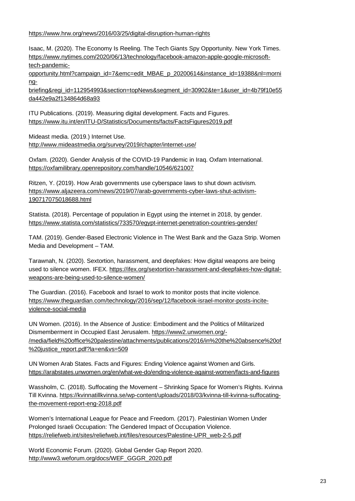<https://www.hrw.org/news/2016/03/25/digital-disruption-human-rights>

Isaac, M. (2020). The Economy Is Reeling. The Tech Giants Spy Opportunity. New York Times. [https://www.nytimes.com/2020/06/13/technology/facebook-amazon-apple-google-microsoft](https://www.nytimes.com/2020/06/13/technology/facebook-amazon-apple-google-microsoft-tech-pandemic-opportunity.html?campaign_id=7&emc=edit_MBAE_p_20200614&instance_id=19388&nl=morning-briefing®i_id=112954993§ion=topNews&segment_id=30902&te=1&user_id=4b79f10e55da442e9a2f134864d68a93)[tech-pandemic-](https://www.nytimes.com/2020/06/13/technology/facebook-amazon-apple-google-microsoft-tech-pandemic-opportunity.html?campaign_id=7&emc=edit_MBAE_p_20200614&instance_id=19388&nl=morning-briefing®i_id=112954993§ion=topNews&segment_id=30902&te=1&user_id=4b79f10e55da442e9a2f134864d68a93)

[opportunity.html?campaign\\_id=7&emc=edit\\_MBAE\\_p\\_20200614&instance\\_id=19388&nl=morni](https://www.nytimes.com/2020/06/13/technology/facebook-amazon-apple-google-microsoft-tech-pandemic-opportunity.html?campaign_id=7&emc=edit_MBAE_p_20200614&instance_id=19388&nl=morning-briefing®i_id=112954993§ion=topNews&segment_id=30902&te=1&user_id=4b79f10e55da442e9a2f134864d68a93) ng-

[briefing&regi\\_id=112954993&section=topNews&segment\\_id=30902&te=1&user\\_id=4b79f10e55](https://www.nytimes.com/2020/06/13/technology/facebook-amazon-apple-google-microsoft-tech-pandemic-opportunity.html?campaign_id=7&emc=edit_MBAE_p_20200614&instance_id=19388&nl=morning-briefing®i_id=112954993§ion=topNews&segment_id=30902&te=1&user_id=4b79f10e55da442e9a2f134864d68a93) [da442e9a2f134864d68a93](https://www.nytimes.com/2020/06/13/technology/facebook-amazon-apple-google-microsoft-tech-pandemic-opportunity.html?campaign_id=7&emc=edit_MBAE_p_20200614&instance_id=19388&nl=morning-briefing®i_id=112954993§ion=topNews&segment_id=30902&te=1&user_id=4b79f10e55da442e9a2f134864d68a93)

ITU Publications. (2019). Measuring digital development. Facts and Figures. <https://www.itu.int/en/ITU-D/Statistics/Documents/facts/FactsFigures2019.pdf>

Mideast media. (2019.) Internet Use. <http://www.mideastmedia.org/survey/2019/chapter/internet-use/>

Oxfam. (2020). Gender Analysis of the COVID-19 Pandemic in Iraq. Oxfam International. <https://oxfamilibrary.openrepository.com/handle/10546/621007>

Ritzen, Y. (2019). How Arab governments use cyberspace laws to shut down activism. [https://www.aljazeera.com/news/2019/07/arab-governments-cyber-laws-shut-activism-](https://www.aljazeera.com/news/2019/07/arab-governments-cyber-laws-shut-activism-190717075018688.html)[190717075018688.html](https://www.aljazeera.com/news/2019/07/arab-governments-cyber-laws-shut-activism-190717075018688.html)

Statista. (2018). Percentage of population in Egypt using the internet in 2018, by gender. <https://www.statista.com/statistics/733570/egypt-internet-penetration-countries-gender/>

TAM. (2019). Gender-Based Electronic Violence in The West Bank and the Gaza Strip. Women Media and Development – TAM.

Tarawnah, N. (2020). Sextortion, harassment, and deepfakes: How digital weapons are being used to silence women. IFEX. [https://ifex.org/sextortion-harassment-and-deepfakes-how-digital](https://ifex.org/sextortion-harassment-and-deepfakes-how-digital-weapons-are-being-used-to-silence-women/)[weapons-are-being-used-to-silence-women/](https://ifex.org/sextortion-harassment-and-deepfakes-how-digital-weapons-are-being-used-to-silence-women/)

The Guardian. (2016). Facebook and Israel to work to monitor posts that incite violence. [https://www.theguardian.com/technology/2016/sep/12/facebook-israel-monitor-posts-incite](https://www.theguardian.com/technology/2016/sep/12/facebook-israel-monitor-posts-incite-violence-social-media)[violence-social-media](https://www.theguardian.com/technology/2016/sep/12/facebook-israel-monitor-posts-incite-violence-social-media)

UN Women. (2016). In the Absence of Justice: Embodiment and the Politics of Militarized Dismemberment in Occupied East Jerusalem. [https://www2.unwomen.org/-](https://www2.unwomen.org/-/media/field%20office%20palestine/attachments/publications/2016/in%20the%20absence%20of%20justice_report.pdf?la=en&vs=509) [/media/field%20office%20palestine/attachments/publications/2016/in%20the%20absence%20of](https://www2.unwomen.org/-/media/field%20office%20palestine/attachments/publications/2016/in%20the%20absence%20of%20justice_report.pdf?la=en&vs=509) [%20justice\\_report.pdf?la=en&vs=509](https://www2.unwomen.org/-/media/field%20office%20palestine/attachments/publications/2016/in%20the%20absence%20of%20justice_report.pdf?la=en&vs=509)

UN Women Arab States. Facts and Figures: Ending Violence against Women and Girls. <https://arabstates.unwomen.org/en/what-we-do/ending-violence-against-women/facts-and-figures>

Wassholm, C. (2018). Suffocating the Movement – Shrinking Space for Women's Rights. Kvinna Till Kvinna. [https://kvinnatillkvinna.se/wp-content/uploads/2018/03/kvinna-till-kvinna-suffocating](https://kvinnatillkvinna.se/wp-content/uploads/2018/03/kvinna-till-kvinna-suffocating-the-movement-report-eng-2018.pdf)[the-movement-report-eng-2018.pdf](https://kvinnatillkvinna.se/wp-content/uploads/2018/03/kvinna-till-kvinna-suffocating-the-movement-report-eng-2018.pdf)

Women's International League for Peace and Freedom. (2017). Palestinian Women Under Prolonged Israeli Occupation: The Gendered Impact of Occupation Violence. [https://reliefweb.int/sites/reliefweb.int/files/resources/Palestine-UPR\\_web-2-5.pdf](https://reliefweb.int/sites/reliefweb.int/files/resources/Palestine-UPR_web-2-5.pdf)

World Economic Forum. (2020). Global Gender Gap Report 2020. [http://www3.weforum.org/docs/WEF\\_GGGR\\_2020.pdf](http://www3.weforum.org/docs/WEF_GGGR_2020.pdf)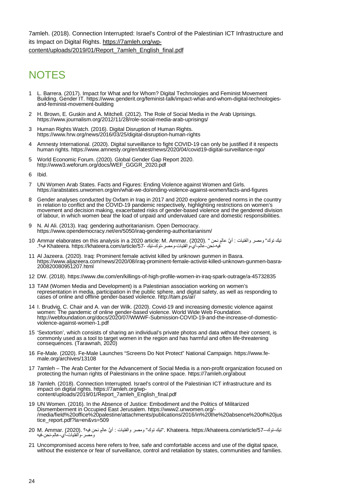<span id="page-23-21"></span>7amleh. (2018). Connection Interrupted: Israel's Control of the Palestinian ICT Infrastructure and its Impact on Digital Rights. [https://7amleh.org/wp](https://7amleh.org/wp-content/uploads/2019/01/Report_7amleh_English_final.pdf)[content/uploads/2019/01/Report\\_7amleh\\_English\\_final.pdf](https://7amleh.org/wp-content/uploads/2019/01/Report_7amleh_English_final.pdf)

### <span id="page-23-24"></span><span id="page-23-23"></span><span id="page-23-22"></span>**NOTES**

- <span id="page-23-25"></span><span id="page-23-0"></span>1 L. Barrera. (2017). Impact for What and for Whom? Digital Technologies and Feminist Movement Building. Gender IT. [https://www.genderit.org/feminist-talk/impact-what-and-whom-digital-technologies-](https://www.genderit.org/feminist-talk/impact-what-and-whom-digital-technologies-and-feminist-movement-building) [and-feminist-movement-building](https://www.genderit.org/feminist-talk/impact-what-and-whom-digital-technologies-and-feminist-movement-building)
- <span id="page-23-26"></span><span id="page-23-1"></span>2 H. Brown, E. Guskin and A. Mitchell. (2012). The Role of Social Media in the Arab Uprisings. <https://www.journalism.org/2012/11/28/role-social-media-arab-uprisings/>
- <span id="page-23-27"></span><span id="page-23-2"></span>3 Human Rights Watch. (2016). Digital Disruption of Human Rights. <https://www.hrw.org/news/2016/03/25/digital-disruption-human-rights>
- <span id="page-23-28"></span><span id="page-23-3"></span>4 Amnesty International. (2020). Digital surveillance to fight COVID-19 can only be justified if it respects human rights[. https://www.amnesty.org/en/latest/news/2020/04/covid19-digital-surveillance-ngo/](https://www.amnesty.org/en/latest/news/2020/04/covid19-digital-surveillance-ngo/)
- <span id="page-23-29"></span><span id="page-23-4"></span>5 World Economic Forum. (2020). Global Gender Gap Report 2020. [http://www3.weforum.org/docs/WEF\\_GGGR\\_2020.pdf](http://www3.weforum.org/docs/WEF_GGGR_2020.pdf)
- <span id="page-23-30"></span><span id="page-23-5"></span>6 Ibid.
- <span id="page-23-6"></span>7 UN Women Arab States. Facts and Figures: Ending Violence against Women and Girls. <https://arabstates.unwomen.org/en/what-we-do/ending-violence-against-women/facts-and-figures>
- <span id="page-23-32"></span><span id="page-23-31"></span><span id="page-23-7"></span>8 Gender analyses conducted by Oxfam in Iraq in 2017 and 2020 explore gendered norms in the country in relation to conflict and the COVID-19 pandemic respectively, highlighting restrictions on women's movement and decision making, exacerbated risks of gender-based violence and the gendered division of labour, in which women bear the load of unpaid and undervalued care and domestic responsibilities.
- <span id="page-23-8"></span>9 N. Al Ali. (2013). Iraq: gendering authoritarianism. Open Democracy. <https://www.opendemocracy.net/en/5050/iraq-gendering-authoritarianism/>
- <span id="page-23-34"></span><span id="page-23-33"></span><span id="page-23-9"></span>تيك توك" ومصر والفتیات : أيُّ عالمِ نحن " .(2020) .Ammar elaborates on this analysis in a 2020 article: M. Ammar<br>فيهـنحن-عالم-أي-والفتيات-ومصر-توك-تيك -Khateera. https://khateera.com/article/57 فيه؟.
- <span id="page-23-35"></span><span id="page-23-10"></span>11 Al Jazeera. (2020). Iraq: Prominent female activist killed by unknown gunmen in Basra. [https://www.aljazeera.com/news/2020/08/iraq-prominent-female-activist-killed-unknown-gunmen-basra-](https://www.aljazeera.com/news/2020/08/iraq-prominent-female-activist-killed-unknown-gunmen-basra-200820080951207.html) [200820080951207.html](https://www.aljazeera.com/news/2020/08/iraq-prominent-female-activist-killed-unknown-gunmen-basra-200820080951207.html)
- <span id="page-23-36"></span><span id="page-23-11"></span>12 DW. (2018)[. https://www.dw.com/en/killings-of-high-profile-women-in-iraq-spark-outrage/a-45732835](https://www.dw.com/en/killings-of-high-profile-women-in-iraq-spark-outrage/a-45732835)
- <span id="page-23-12"></span>13 TAM (Women Media and Development) is a Palestinian association working on women's representation in media, participation in the public sphere, and digital safety, as well as responding to cases of online and offline gender-based violence.<http://tam.ps/ar/>
- <span id="page-23-38"></span><span id="page-23-37"></span><span id="page-23-13"></span>14 I. Brudvig, C. Chair and A. van der Wilk. (2020). Covid-19 and increasing domestic violence against women: The pandemic of online gender-based violence. World Wide Web Foundation. [http://webfoundation.org/docs/2020/07/WWWF-Submission-COVID-19-and-the-increase-of-domestic-](http://webfoundation.org/docs/2020/07/WWWF-Submission-COVID-19-and-the-increase-of-domestic-violence-against-women-1.pdf)<br>[violence-against-women-1.pdf](http://webfoundation.org/docs/2020/07/WWWF-Submission-COVID-19-and-the-increase-of-domestic-violence-against-women-1.pdf)
- <span id="page-23-39"></span><span id="page-23-14"></span>15 'Sextortion', which consists of sharing an individual's private photos and data without their consent, is commonly used as a tool to target women in the region and has harmful and often life-threatening consequences. (Tarawnah, 2020)
- <span id="page-23-40"></span><span id="page-23-15"></span><sup>16</sup> Fe-Male. (2020). Fe-Male Launches "Screens Do Not Protect" National Campaign. [https://www.fe-](https://www.fe-male.org/archives/13108) [male.org/archives/13108](https://www.fe-male.org/archives/13108)
- <span id="page-23-16"></span>17 7amleh – The Arab Center for the Advancement of Social Media is a non-profit organization focused on protecting the human rights of Palestinians in the online space.<https://7amleh.org/about>
- <span id="page-23-17"></span>18 7amleh. (2018). Connection Interrupted. Israel's control of the Palestinian ICT infrastructure and its [content/uploads/2019/01/Report\\_7amleh\\_English\\_final.pdf](https://7amleh.org/wp-content/uploads/2019/01/Report_7amleh_English_final.pdf)
- <span id="page-23-18"></span>19 UN Women. (2016). In the Absence of Justice: Embodiment and the Politics of Militarized [/media/field%20office%20palestine/attachments/publications/2016/in%20the%20absence%20of%20jus](https://www2.unwomen.org/-/media/field%20office%20palestine/attachments/publications/2016/in%20the%20absence%20of%20justice_report.pdf?la=en&vs=509) [tice\\_report.pdf?la=en&vs=509](https://www2.unwomen.org/-/media/field%20office%20palestine/attachments/publications/2016/in%20the%20absence%20of%20justice_report.pdf?la=en&vs=509)
- <span id="page-23-19"></span>تيك-توك-- Khateera. https://khateera.com/article/57 ."تيك توك" ومصر والفتيات : أيُّ عالمٍ نحن فيه؟ .(2020) .Ammar . ومصر-[والفتیات](https://khateera.com/article/57-%D8%AA%D9%8A%D9%83-%D8%AA%D9%88%D9%83-%D9%88%D9%85%D8%B5%D8%B1-%D9%88%D8%A7%D9%84%D9%81%D8%AA%D9%8A%D8%A7%D8%AA-%D8%A3%D9%8A-%D8%B9%D8%A7%D9%84%D9%85-%D9%86%D8%AD%D9%86-%D9%81%D9%8A%D9%87) -أي -عالم-نحن-فیھ
- <span id="page-23-20"></span>21 Uncompromised access here refers to free, safe and comfortable access and use of the digital space, without the existence or fear of surveillance, control and retaliation by states, communities and families.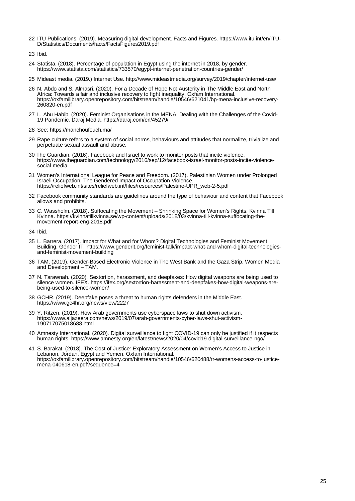- <sup>22</sup> ITU Publications. (2019). Measuring digital development. Facts and Figures. [https://www.itu.int/en/ITU-](https://www.itu.int/en/ITU-D/Statistics/Documents/facts/FactsFigures2019.pdf) [D/Statistics/Documents/facts/FactsFigures2019.pdf](https://www.itu.int/en/ITU-D/Statistics/Documents/facts/FactsFigures2019.pdf)
- 23 Ibid.
- 24 Statista. (2018). Percentage of population in Egypt using the internet in 2018, by gender. <https://www.statista.com/statistics/733570/egypt-internet-penetration-countries-gender/>
- 25 Mideast media. (2019.) Internet Use.<http://www.mideastmedia.org/survey/2019/chapter/internet-use/>
- 26 N. Abdo and S. Almasri. (2020). For a Decade of Hope Not Austerity in The Middle East and North Africa: Towards a fair and inclusive recovery to fight inequality. Oxfam International. [https://oxfamilibrary.openrepository.com/bitstream/handle/10546/621041/bp-mena-inclusive-recovery-](https://oxfamilibrary.openrepository.com/bitstream/handle/10546/621041/bp-mena-inclusive-recovery-260820-en.pdf)<br>[260820-en.pdf](https://oxfamilibrary.openrepository.com/bitstream/handle/10546/621041/bp-mena-inclusive-recovery-260820-en.pdf)
- <sup>27</sup> L. Abu Habib. (2020). Feminist Organisations in the MENA: Dealing with the Challenges of the Covid- 19 Pandemic. Daraj Media.<https://daraj.com/en/45279/>
- 28 See[: https://manchoufouch.ma/](https://manchoufouch.ma/)
- 29 Rape culture refers to a system of social norms, behaviours and attitudes that normalize, trivialize and perpetuate sexual assault and abuse.
- <sup>30</sup> The Guardian. (2016). Facebook and Israel to work to monitor posts that incite violence. https://www.theguardian.com/technology/2016/sep/12/facebook-israel-monitor-posts-incite-violence- social-media
- 31 Women's International League for Peace and Freedom. (2017). Palestinian Women under Prolonged Israeli Occupation: The Gendered Impact of Occupation Violence. [https://reliefweb.int/sites/reliefweb.int/files/resources/Palestine-UPR\\_web-2-5.pdf](https://reliefweb.int/sites/reliefweb.int/files/resources/Palestine-UPR_web-2-5.pdf)
- 32 Facebook community standards are guidelines around the type of behaviour and content that Facebook allows and prohibits.
- 33 C. Wassholm. (2018). Suffocating the Movement Shrinking Space for Women's Rights. Kvinna Till Kvinna. [https://kvinnatillkvinna.se/wp-content/uploads/2018/03/kvinna-till-kvinna-suffocating-the-](https://kvinnatillkvinna.se/wp-content/uploads/2018/03/kvinna-till-kvinna-suffocating-the-movement-report-eng-2018.pdf)<br>[movement-report-eng-2018.pdf](https://kvinnatillkvinna.se/wp-content/uploads/2018/03/kvinna-till-kvinna-suffocating-the-movement-report-eng-2018.pdf)
- 34 Ibid.
- 35 L. Barrera. (2017). Impact for What and for Whom? Digital Technologies and Feminist Movement Building. Gender IT. [https://www.genderit.org/feminist-talk/impact-what-and-whom-digital-technologies-](https://www.genderit.org/feminist-talk/impact-what-and-whom-digital-technologies-and-feminist-movement-building)<br>[and-feminist-movement-building](https://www.genderit.org/feminist-talk/impact-what-and-whom-digital-technologies-and-feminist-movement-building)
- 36 TAM. (2019). Gender-Based Electronic Violence in The West Bank and the Gaza Strip. Women Media and Development – TAM.
- 37 N. Tarawnah. (2020). Sextortion, harassment, and deepfakes: How digital weapons are being used to silence women. IFEX. [https://ifex.org/sextortion-harassment-and-deepfakes-how-digital-weapons-are-](https://ifex.org/sextortion-harassment-and-deepfakes-how-digital-weapons-are-being-used-to-silence-women/)<br>[being-used-to-silence-women/](https://ifex.org/sextortion-harassment-and-deepfakes-how-digital-weapons-are-being-used-to-silence-women/)
- 38 GCHR. (2019). Deepfake poses a threat to human rights defenders in the Middle East. <https://www.gc4hr.org/news/view/2227>
- 39 Y. Ritzen. (2019). How Arab governments use cyberspace laws to shut down activism. [https://www.aljazeera.com/news/2019/07/arab-governments-cyber-laws-shut-activism-](https://www.aljazeera.com/news/2019/07/arab-governments-cyber-laws-shut-activism-190717075018688.html)<br>[190717075018688.html](https://www.aljazeera.com/news/2019/07/arab-governments-cyber-laws-shut-activism-190717075018688.html)
- 40 Amnesty International. (2020). Digital surveillance to fight COVID-19 can only be justified if it respects human rights.<https://www.amnesty.org/en/latest/news/2020/04/covid19-digital-surveillance-ngo/>
- 41 S. Barakat. (2018). The Cost of Justice: Exploratory Assessment on Women's Access to Justice in Lebanon, Jordan, Egypt and Yemen. Oxfam International. [https://oxfamilibrary.openrepository.com/bitstream/handle/10546/620488/rr-womens-access-to-justice-](https://oxfamilibrary.openrepository.com/bitstream/handle/10546/620488/rr-womens-access-to-justice-mena-040618-en.pdf?sequence=4) [mena-040618-en.pdf?sequence=4](https://oxfamilibrary.openrepository.com/bitstream/handle/10546/620488/rr-womens-access-to-justice-mena-040618-en.pdf?sequence=4)